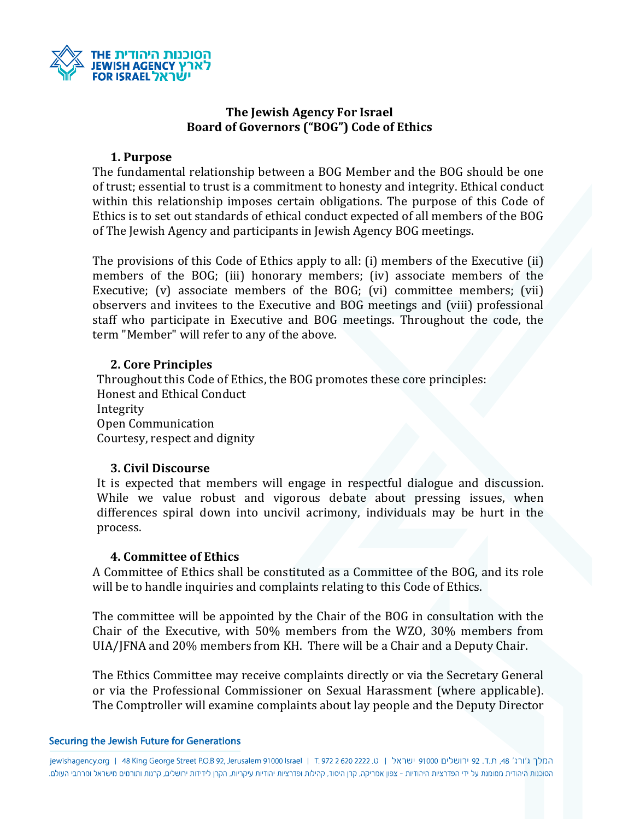

# **The Jewish Agency For Israel Board of Governors ("BOG") Code of Ethics**

#### **1. Purpose**

The fundamental relationship between a BOG Member and the BOG should be one of trust; essential to trust is a commitment to honesty and integrity. Ethical conduct within this relationship imposes certain obligations. The purpose of this Code of Ethics is to set out standards of ethical conduct expected of all members of the BOG of The Jewish Agency and participants in Jewish Agency BOG meetings.

The provisions of this Code of Ethics apply to all: (i) members of the Executive (ii) members of the BOG; (iii) honorary members; (iv) associate members of the Executive; (v) associate members of the BOG; (vi) committee members; (vii) observers and invitees to the Executive and BOG meetings and (viii) professional staff who participate in Executive and BOG meetings. Throughout the code, the term "Member" will refer to any of the above.

# **2. Core Principles**

Throughout this Code of Ethics, the BOG promotes these core principles: Honest and Ethical Conduct Integrity Open Communication Courtesy, respect and dignity

## **3. Civil Discourse**

It is expected that members will engage in respectful dialogue and discussion. While we value robust and vigorous debate about pressing issues, when differences spiral down into uncivil acrimony, individuals may be hurt in the process.

## **4. Committee of Ethics**

A Committee of Ethics shall be constituted as a Committee of the BOG, and its role will be to handle inquiries and complaints relating to this Code of Ethics.

The committee will be appointed by the Chair of the BOG in consultation with the Chair of the Executive, with 50% members from the WZO, 30% members from UIA/JFNA and 20% members from KH. There will be a Chair and a Deputy Chair.

The Ethics Committee may receive complaints directly or via the Secretary General or via the Professional Commissioner on Sexual Harassment (where applicable). The Comptroller will examine complaints about lay people and the Deputy Director

#### Securing the Jewish Future for Generations

|המלך ג'ורג' 48, ת.ד. 92 ירושלים 1000 ישראל | ט. 9222 222 ד. 1 | jewishagency.org | 48 King George Street P.O.B 92, Jerusalem 91000 Israel | ד. הסוכנות היהודית ממומנת על ידי הפדרציות היהודיות - צפון אמריקה, קרן היסוד, קהילות ופדרציות יהודיות קרן לידידות ירושלים, קרנות ותורמים מישראל ומרחבי העולם.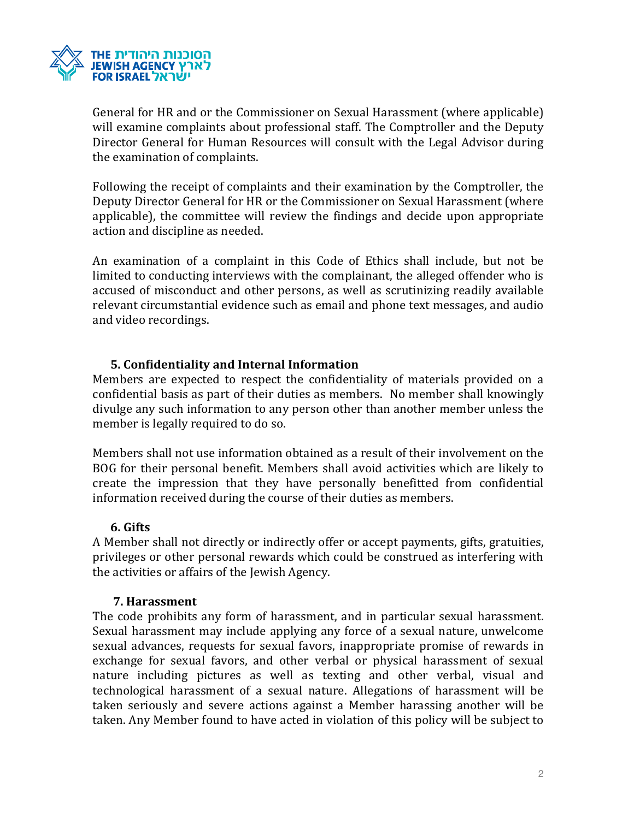

General for HR and or the Commissioner on Sexual Harassment (where applicable) will examine complaints about professional staff. The Comptroller and the Deputy Director General for Human Resources will consult with the Legal Advisor during the examination of complaints.

Following the receipt of complaints and their examination by the Comptroller, the Deputy Director General for HR or the Commissioner on Sexual Harassment (where applicable), the committee will review the findings and decide upon appropriate action and discipline as needed.

An examination of a complaint in this Code of Ethics shall include, but not be limited to conducting interviews with the complainant, the alleged offender who is accused of misconduct and other persons, as well as scrutinizing readily available relevant circumstantial evidence such as email and phone text messages, and audio and video recordings.

# **5. Confidentiality and Internal Information**

Members are expected to respect the confidentiality of materials provided on a confidential basis as part of their duties as members. No member shall knowingly divulge any such information to any person other than another member unless the member is legally required to do so.

Members shall not use information obtained as a result of their involvement on the BOG for their personal benefit. Members shall avoid activities which are likely to create the impression that they have personally benefitted from confidential information received during the course of their duties as members.

## **6. Gifts**

A Member shall not directly or indirectly offer or accept payments, gifts, gratuities, privileges or other personal rewards which could be construed as interfering with the activities or affairs of the Jewish Agency.

## **7. Harassment**

The code prohibits any form of harassment, and in particular sexual harassment. Sexual harassment may include applying any force of a sexual nature, unwelcome sexual advances, requests for sexual favors, inappropriate promise of rewards in exchange for sexual favors, and other verbal or physical harassment of sexual nature including pictures as well as texting and other verbal, visual and technological harassment of a sexual nature. Allegations of harassment will be taken seriously and severe actions against a Member harassing another will be taken. Any Member found to have acted in violation of this policy will be subject to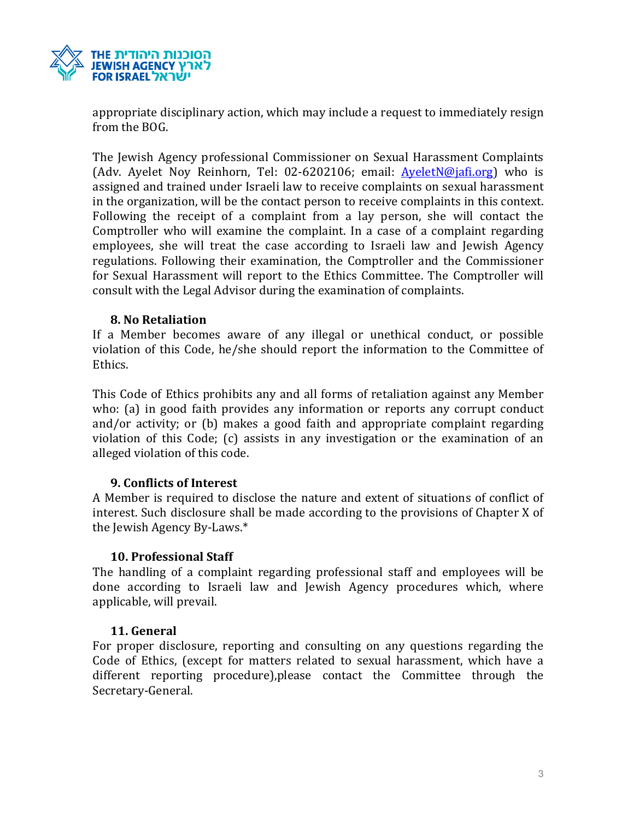

appropriate disciplinary action, which may include a request to immediately resign from the BOG.

The Jewish Agency professional Commissioner on Sexual Harassment Complaints (Adv. Ayelet Noy Reinhorn, Tel: 02-6202106; email: Ayelet N@jafi.org) who is assigned and trained under Israeli law to receive complaints on sexual harassment in the organization, will be the contact person to receive complaints in this context. Following the receipt of a complaint from a lay person, she will contact the Comptroller who will examine the complaint. In a case of a complaint regarding employees, she will treat the case according to Israeli law and Jewish Agency regulations. Following their examination, the Comptroller and the Commissioner for Sexual Harassment will report to the Ethics Committee. The Comptroller will consult with the Legal Advisor during the examination of complaints.

## **8. No Retaliation**

If a Member becomes aware of any illegal or unethical conduct, or possible violation of this Code, he/she should report the information to the Committee of Ethics.

This Code of Ethics prohibits any and all forms of retaliation against any Member who: (a) in good faith provides any information or reports any corrupt conduct and/or activity; or (b) makes a good faith and appropriate complaint regarding violation of this Code; (c) assists in any investigation or the examination of an alleged violation of this code.

## **9. Conflicts of Interest**

A Member is required to disclose the nature and extent of situations of conflict of interest. Such disclosure shall be made according to the provisions of Chapter X of the Jewish Agency By-Laws.\*

## **10. Professional Staff**

The handling of a complaint regarding professional staff and employees will be done according to Israeli law and Jewish Agency procedures which, where applicable, will prevail.

## **11. General**

For proper disclosure, reporting and consulting on any questions regarding the Code of Ethics, (except for matters related to sexual harassment, which have a different reporting procedure),please contact the Committee through the Secretary-General.